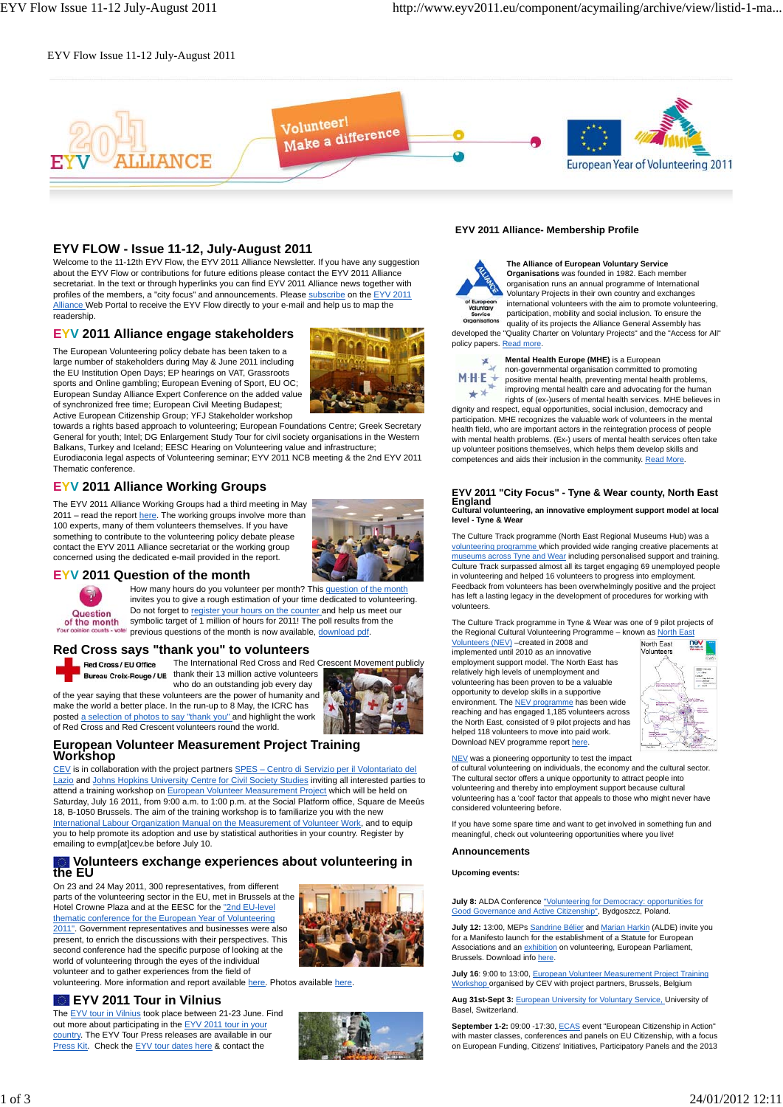#### EYV Flow Issue 11-12 July-August 2011



## **EYV FLOW - Issue 11-12, July-August 2011**

Welcome to the 11-12th EYV Flow, the EYV 2011 Alliance Newsletter. If you have any suggestion about the EYV Flow or contributions for future editions please contact the EYV 2011 Alliance secretariat. In the text or through hyperlinks you can find EYV 2011 Alliance news together with profiles of the members, a "city focus" and announcements. Please subscribe on the EYV 2011 Alliance Web Portal to receive the EYV Flow directly to your e-mail and help us to map the readership

#### **EYV 2011 Alliance engage stakeholders**

The European Volunteering policy debate has been taken to a large number of stakeholders during May & June 2011 including the EU Institution Open Days; EP hearings on VAT, Grassroots sports and Online gambling; European Evening of Sport, EU OC; European Sunday Alliance Expert Conference on the added value of synchronized free time; European Civil Meeting Budapest; Active European Citizenship Group; YFJ Stakeholder workshop



towards a rights based approach to volunteering; European Foundations Centre; Greek Secretary General for youth; Intel; DG Enlargement Study Tour for civil society organisations in the Western Balkans, Turkey and Iceland; EESC Hearing on Volunteering value and infrastructure; Eurodiaconia legal aspects of Volunteering seminar; EYV 2011 NCB meeting & the 2nd EYV 2011 Thematic conference.

# **EYV 2011 Alliance Working Groups**

The EYV 2011 Alliance Working Groups had a third meeting in May 2011 – read the report here. The working groups involve more than 100 experts, many of them volunteers themselves. If you have something to contribute to the volunteering policy debate please contact the EYV 2011 Alliance secretariat or the working group concerned using the dedicated e-mail provided in the report.



#### **EYV 2011 Question of the month**

Question of the month

How many hours do you volunteer per month? This question of the month invites you to give a rough estimation of your time dedicated to volunteering. Do not forget to register your hours on the counter and help us meet our symbolic target of 1 million of hours for 2011! The poll results from the previous questions of the month is now available, download pdf.

#### **Red Cross says "thank you" to volunteers**

make the world a better place. In the run-up to 8 May, the ICRC has posted a selection of photos to say "thank you" and highlight the work



The International Red Cross and Red Crescent Movement publicly Red Cross / EU Office Bureau Croix-Rouge / UE thank their 13 million active volunteers who do an outstanding job every day



#### of Red Cross and Red Crescent volunteers round the world. **European Volunteer Measurement Project Training Workshop**

CEV is in collaboration with the project partners SPES - Centro di Servizio per il Volontariato del Lazio and Johns Hopkins University Centre for Civil Society Studies inviting all interested parties to attend a training workshop on European Volunteer Measurement Project which will be held on Saturday, July 16 2011, from 9:00 a.m. to 1:00 p.m. at the Social Platform office, Square de Meeûs 18, B-1050 Brussels. The aim of the training workshop is to familiarize you with the new International Labour Organization Manual on the Measurement of Volunteer Work, and to equip you to help promote its adoption and use by statistical authorities in your country. Register by emailing to evmp[at]cev.be before July 10.

# **Volunteers exchange experiences about volunteering in the EU**

On 23 and 24 May 2011, 300 representatives, from different parts of the volunteering sector in the EU, met in Brussels at the Hotel Crowne Plaza and at the EESC for the "2nd EU-level thematic conference for the European Year of Volunteering

2011". Government representatives and businesses were also present, to enrich the discussions with their perspectives. This second conference had the specific purpose of looking at the world of volunteering through the eyes of the individual volunteer and to gather experiences from the field of



volunteering. More information and report available here. Photos available here.

#### **EYV 2011 Tour in Vilnius**

The EYV tour in Vilnius took place between 21-23 June. Find out more about participating in the EYV 2011 tour in your country. The EYV Tour Press releases are available in our Press Kit. Check the EYV tour dates here & contact the



#### **EYV 2011 Alliance- Membership Profile**



**The Alliance of European Voluntary Service Organisations** was founded in 1982. Each member organisation runs an annual programme of International Voluntary Projects in their own country and exchanges international volunteers with the aim to promote volunteering, participation, mobility and social inclusion. To ensure the quality of its projects the Alliance General Assembly has developed the "Quality Charter on Voluntary Projects" and the "Access for All"

policy papers. Read more.



**Mental Health Europe (MHE)** is a European non-governmental organisation committed to promoting positive mental health, preventing mental health problems,

improving mental health care and advocating for the human rights of (ex-)users of mental health services. MHE believes in dignity and respect, equal opportunities, social inclusion, democracy and

participation. MHE recognizes the valuable work of volunteers in the mental health field, who are important actors in the reintegration process of people with mental health problems. (Ex-) users of mental health services often take up volunteer positions themselves, which helps them develop skills and competences and aids their inclusion in the community. Read More.

#### **EYV 2011 "City Focus" - Tyne & Wear county, North East England Cultural volunteering, an innovative employment support model at local**

**level - Tyne & Wear**

The Culture Track programme (North East Regional Museums Hub) was a volunteering programme which provided wide ranging creative placements at museums across Tyne and Wear including personalised support and training. Culture Track surpassed almost all its target engaging 69 unemployed people in volunteering and helped 16 volunteers to progress into employment. Feedback from volunteers has been overwhelmingly positive and the project has left a lasting legacy in the development of procedures for working with volunteers.

The Culture Track programme in Tyne & Wear was one of 9 pilot projects of the Regional Cultural Volunteering Programme – known as North East

Volunteers (NEV) –created in 2008 and implemented until 2010 as an innovative employment support model. The North East has relatively high levels of unemployment and volunteering has been proven to be a valuable opportunity to develop skills in a supportive environment. The NEV programme has been wide reaching and has engaged 1,185 volunteers across the North East, consisted of 9 pilot projects and has helped 118 volunteers to move into paid work. Download NEV programme report here.



NEV was a pioneering opportunity to test the impact of cultural volunteering on individuals, the economy and the cultural sector. The cultural sector offers a unique opportunity to attract people into volunteering and thereby into employment support because cultural

volunteering has a 'cool' factor that appeals to those who might never have considered volunteering before.

If you have some spare time and want to get involved in something fun and meaningful, check out volunteering opportunities where you live!

#### **Announcements**

**Upcoming events:**

**July 8:** ALDA Conference "Volunteering for Democracy: opportunities for Good Governance and Active Citizenship", Bydgoszcz, Poland.

**July 12:** 13:00, MEPs Sandrine Bélier and Marian Harkin (ALDE) invite you for a Manifesto launch for the establishment of a Statute for European Associations and an exhibition on volunteering, European Parliament, Brussels. Download info here

**July 16**: 9:00 to 13:00, European Volunteer Measurement Project Training Workshop organised by CEV with project partners, Brussels, Belgium

**Aug 31st-Sept 3:** European University for Voluntary Service, University of Basel, Switzerland.

**September 1-2:** 09:00 -17:30, ECAS event "European Citizenship in Action" with master classes, conferences and panels on EU Citizenship, with a focus on European Funding, Citizens' Initiatives, Participatory Panels and the 2013